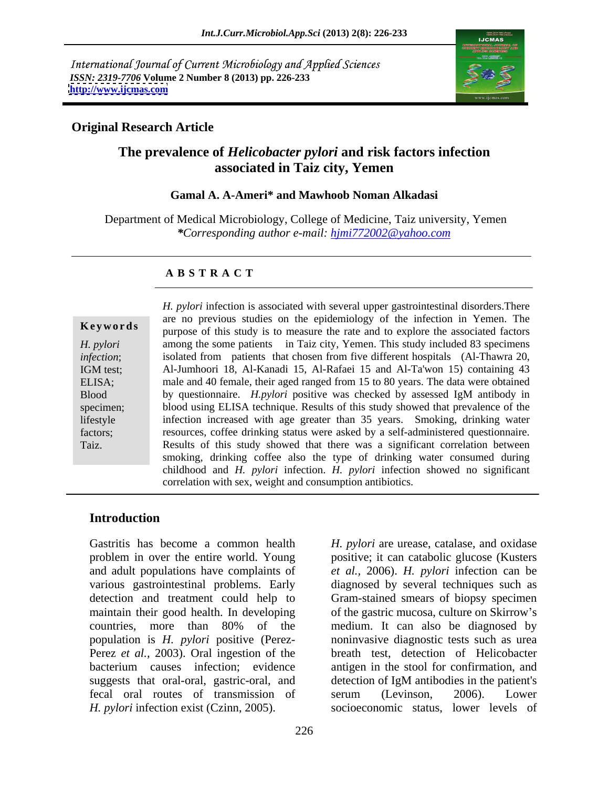International Journal of Current Microbiology and Applied Sciences *ISSN: 2319-7706* **Volume 2 Number 8 (2013) pp. 226-233 <http://www.ijcmas.com>**



## **Original Research Article**

## **The prevalence of** *Helicobacter pylori* **and risk factors infection associated in Taiz city, Yemen**

### **Gamal A. A-Ameri\* and Mawhoob Noman Alkadasi**

Department of Medical Microbiology, College of Medicine, Taiz university, Yemen *\*Corresponding author e-mail: hjmi772002@yahoo.com*

## **A B S T R A C T**

**Keywords** purpose of this study is to measure the rate and to explore the associated factors *H. pylori* among the some patients in Taiz city, Yemen. This study included 83 specimens *infection*; isolated from patients that chosen from five different hospitals (Al-Thawra 20, IGM test; Al-Jumhoori 18, Al-Kanadi 15, Al-Rafaei 15 and Al-Ta'won 15) containing 43 ELISA; male and 40 female, their aged ranged from 15 to 80 years. The data were obtained Blood by questionnaire. *H.pylori* positive was checked by assessed IgM antibody in specimen; blood using ELISA technique. Results of this study showed that prevalence of the lifestyle infection increased with age greater than 35 years. Smoking, drinking water factors; resources, coffee drinking status were asked by a self-administered questionnaire. *H. pylori* infection is associated with several upper gastrointestinal disorders. There<br>
are no previous studies on the epidemiology of the infection in Yemen. The<br>
purpose of this study is to measure the rate and to expl are no previous studies on the epidemiology of the infection in Yemen. The Results of this study showed that there was a significant correlation between smoking, drinking coffee also the type of drinking water consumed during childhood and *H. pylori* infection. *H. pylori* infection showed no significant correlation with sex, weight and consumption antibiotics.

## **Introduction**

Gastritis has become a common health *H. pylori* are urease, catalase, and oxidase problem in over the entire world. Young positive; it can catabolic glucose (Kusters and adult populations have complaints of *et al.,* 2006). *H. pylori* infection can be various gastrointestinal problems. Early diagnosed by several techniques such as detection and treatment could help to Gram-stained smears of biopsy specimen maintain their good health. In developing of the gastric mucosa, culture on Skirrow's countries, more than 80% of the population is *H. pylori* positive (Perez-Perez *et al.*, 2003). Oral ingestion of the bacterium causes infection; evidence antigen in the stool for confirmation, and suggests that oral-oral, gastric-oral, and detection of IgM antibodies in the patient's fecal oral routes of transmission of *H. pylori* infection exist (Czinn, 2005). Socioeconomic status, lower levels of

medium. It can also be diagnosed by noninvasive diagnostic tests such as urea breath test, detection of Helicobacter detection of IgM antibodies in the patient's serum (Levinson, 2006). Lower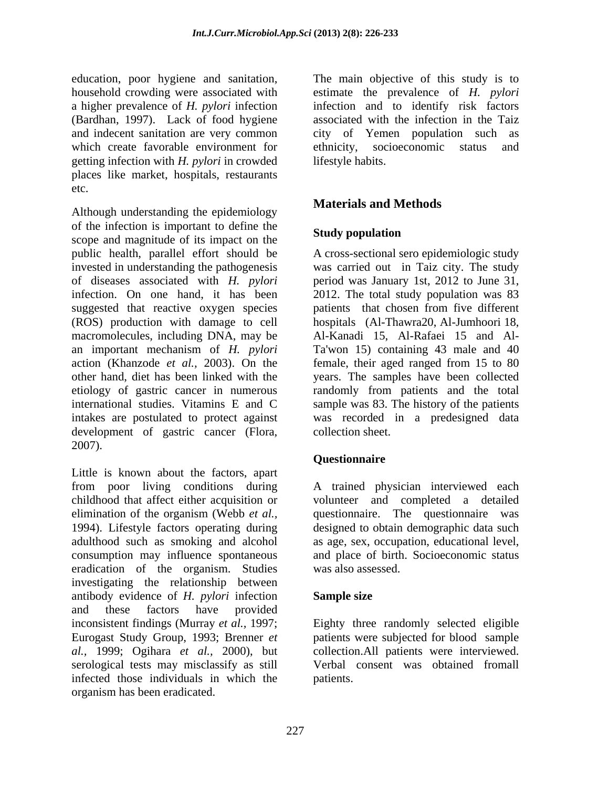education, poor hygiene and sanitation, The main objective of this study is to household crowding were associated with estimate the prevalence of *H. pylori* a higher prevalence of *H. pylori* infection (Bardhan, 1997). Lack of food hygiene associated with the infection in the Taiz and indecent sanitation are very common city of Yemen population such as which create favorable environment for ethnicity, socioeconomic status and getting infection with *H. pylori* in crowded places like market, hospitals, restaurants etc.

Although understanding the epidemiology of the infection is important to define the scope and magnitude of its impact on the public health, parallel effort should be A cross-sectional sero epidemiologic study invested in understanding the pathogenesis was carried out in Taiz city. The study of diseases associated with *H. pylori* period was January 1st, 2012 to June 31, infection. On one hand, it has been 2012. The total study population was 83 suggested that reactive oxygen species patients that chosen from five different (ROS) production with damage to cell macromolecules, including DNA, may be an important mechanism of *H. pylori* Ta'won 15) containing 43 male and 40 action (Khanzode *et al.,* 2003). On the female, their aged ranged from 15 to 80 other hand, diet has been linked with the years. The samples have been collected etiology of gastric cancer in numerous randomly from patients and the total international studies. Vitamins E and C sample was 83. The history of the patients intakes are postulated to protect against was recorded in a predesigned data development of gastric cancer (Flora, collection sheet.<br>2007).

Little is known about the factors, apart from poor living conditions during A trained physician interviewed each childhood that affect either acquisition or volunteer and completed a detailed elimination of the organism (Webb *et al.,* questionnaire. The questionnaire was 1994). Lifestyle factors operating during designed to obtain demographicdata such adulthood such as smoking and alcohol as age, sex, occupation, educational level, consumption may influence spontaneous eradication of the organism. Studies investigating the relationship between antibody evidence of *H. pylori* infection and these factors have provided inconsistent findings (Murray *et al.,* 1997; Eighty three randomly selected eligible Eurogast Study Group, 1993; Brenner *et*  patients were subjected for blood sample *al.,* 1999; Ogihara *et al.,* 2000), but collection.All patients were interviewed. serological tests may misclassify as still infected those individuals in which the organism has been eradicated.

infection and to identify risk factors ethnicity, socioeconomic status and lifestyle habits.

## **Materials and Methods**

## **Study population**

hospitals (Al-Thawra20, Al-Jumhoori 18, Al-Kanadi 15, Al-Rafaei 15 and Al collection sheet.

## **Questionnaire**

and place of birth. Socioeconomic status was also assessed.

## **Sample size**

Verbal consent was obtained fromall patients.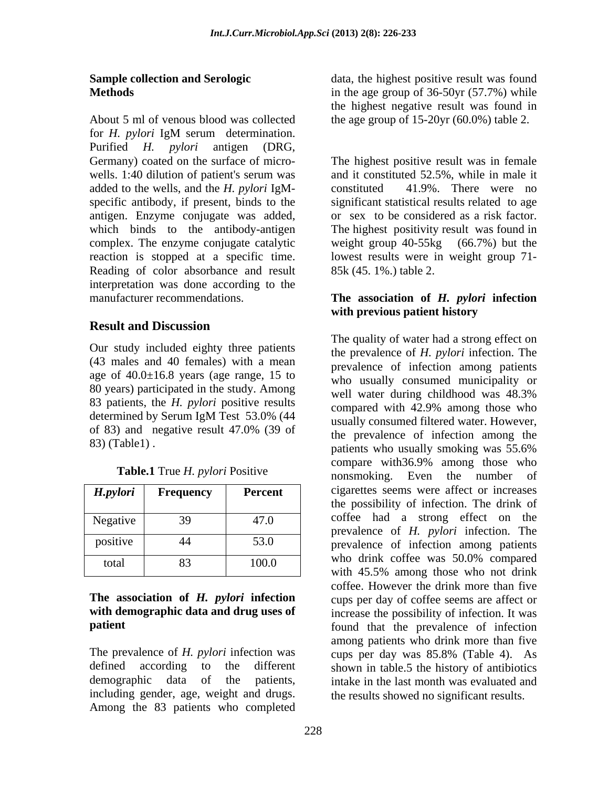About 5 ml of venous blood was collected the age group of 15-20yr (60.0%) table 2. for *H. pylori* IgM serum determination. Purified *H. pylori* antigen (DRG, wells. 1:40 dilution of patient's serum was added to the wells, and the *H. pylori* IgM specific antibody, if present, binds to the antigen. Enzyme conjugate was added, which binds to the antibody-antigen The highest positivity result was found in Reading of color absorbance and result interpretation was done according to the manufacturer recommendations. **The association of** *H. pylori* **infection** 

## **Result and Discussion**

Our study included eighty three patients (43 males and 40 females) with a mean age of  $40.0 \pm 16.8$  years (age range, 15 to 80 years) participated in the study. Among well water during childhood was 48.3% 83 patients, the *H. pylori* positive results compared with 42.9% among those who determined by Serum IgM Test 53.0% (44<br>usually consumed filtered water. However, 83) (Table1) .

| H.pylori | <b>Frequency</b> | <b>Percent</b> |
|----------|------------------|----------------|
| Negative | 39               | 47.0           |
| positive |                  | 53.0           |
| total    | 83               | 100.0          |

# **The association of** *H. pylori* **infection**

including gender, age, weight and drugs. Among the 83 patients who completed

**Sample collection and Serologic** data, the highest positive result was found **Methods** in the age group of 36-50yr (57.7%) while the highest negative result was found in

Germany) coated on the surface of micro- The highest positive result was in female complex. The enzyme conjugate catalytic weight group 40-55kg (66.7%) but the reaction is stopped at a specific time. lowest results were in weight group 71 and it constituted 52.5%, while in male it constituted 41.9%. There were no significant statistical results related to age or sex to be considered as a risk factor.<br>The highest positivity result was found in 85k (45. 1%.) table 2.

## **with previous patient history**

of 83) and negative result  $47.0\%$  (39 of the prevalence of infection among the **Table.1** True *H. pylori* Positive nonsmoking. Even the number of *H.pylori* **Frequency Percent** cigarettes seems were affect or increases Negative 39 47.0 coffee had a strong effect on the positive 44 53.0 prevalence of infection among patients total 83 100.0 **with demographic data and drug uses of**  increase the possibility of infection. It was **patient particle proposed to the prevalence** of infection The prevalence of *H. pylori* infection was cups per day was 85.8% (Table 4). As defined according to the different shown in table.5 the history of antibiotics demographic data of the patients, intake in the last month was evaluated and The quality of water had a strong effect on the prevalence of *H. pylori* infection. The prevalence of infection among patients who usually consumed municipality or well water during childhood was 48.3% compared with 42.9% among those who usually consumed filtered water. However, the prevalence of infection among the patients who usually smoking was 55.6% compare with36.9% among those who the possibility of infection. The drink of prevalence of *H. pylori* infection. The who drink coffee was 50.0% compared with 45.5% among those who not drink coffee. However the drink more than five cups per day of coffee seems are affect or among patients who drink more than five the results showed no significant results.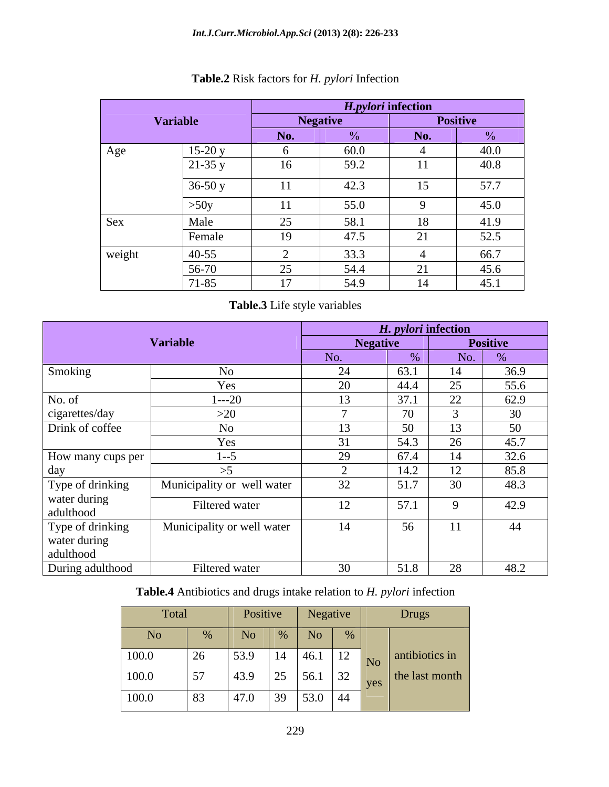|        |                 |                | H.pylori infection |                      |                 |
|--------|-----------------|----------------|--------------------|----------------------|-----------------|
|        | <b>Variable</b> |                | <b>Negative</b>    |                      | <b>Positive</b> |
|        |                 | No.            | 0/2                | No.                  | $\frac{0}{0}$   |
| Age    | $15-20y$        |                | 60.0               |                      | 40.0            |
|        | $21-35y$        | $\sim$<br>16   | 59.2               | 11                   | 40.8            |
|        | $36-50y$        | 11             | 42.3               | 15                   | 57.7            |
|        | >50y            | 11             | 55.0               |                      | 45.0            |
| Sex    | Male            | 25             | 58.1               | 18                   | 41.9            |
|        | Female          | 19             | 47.5               | $\sim$ 1<br>$\sim$ 1 | 52.5            |
| weight | $40-55$         |                | 33.3               |                      | 66.7            |
|        | 56-70           | 25             | 54.4               |                      | 45.6            |
|        | 71-85           | $\overline{ }$ | 54.9               | 14                   | 45.1            |

## **Table.2** Risk factors for *H. pylori* Infection

## **Table.3** Life style variables

|                   |                            |                   | H. pylori infection |          |                 |
|-------------------|----------------------------|-------------------|---------------------|----------|-----------------|
|                   | <b>Variable</b>            | <b>Negative</b>   |                     |          | Positive        |
|                   |                            | No.               |                     | No.      |                 |
| Smoking           | N <sub>O</sub>             | $\bigcap$<br>- 44 | 63.1                | 14       | 36.9            |
|                   | Yes                        | 20                | 44.4                | 25       | 55.6            |
| No. of            | $1 - -20$                  | 13                | 37.1                | 22       | 62.9            |
| cigarettes/day    | >20                        |                   | $\overline{u}$      |          | $\overline{30}$ |
| Drink of coffee   | No.                        | 12                | $\epsilon$          | 13       | 50              |
|                   | Yes                        | 31                | 54.3                | 26       | 45.7            |
| How many cups per | $1 - 5$                    | 29                | 67.4                | 14       | 32.6            |
| dav               |                            |                   | 14.2                | 12       | 85.8            |
| Type of drinking  | Municipality or well water | 32                | 51.7                | 30       | 48.3            |
| water during      | Filtered water             | 12                | 57.1                | $\Omega$ | 42.9            |
| adulthood         |                            |                   |                     |          |                 |
| Type of drinking  | Municipality or well water | 14                | 56.<br>U            | 11       | 44              |
| water during      |                            |                   |                     |          |                 |
| adulthood         |                            |                   |                     |          |                 |
| During adulthood  | Filtered water             | 30                | 51.8                | 28       | 48.2            |

## **Table.4** Antibiotics and drugs intake relation to *H. pylori* infection

|       | Total          |                              | Positive   Negative    |                        |  | Drugs                          |
|-------|----------------|------------------------------|------------------------|------------------------|--|--------------------------------|
| No    |                | 110                          |                        | No                     |  |                                |
| 100.0 | $\bigcap$      | $\frac{53.9}{ }$             | $14 \mid 46.1$         |                        |  | $\boxed{12}$ No antibiotics in |
| 100.0 | 57             | 43.9                         | $25 \mid 56.1 \mid 32$ |                        |  | $\vert$ the last month $\vert$ |
| 100.0 | $\overline{5}$ | $\sqrt{47}$ $\alpha$<br>41.0 |                        | $39 \mid 53.0 \mid 44$ |  |                                |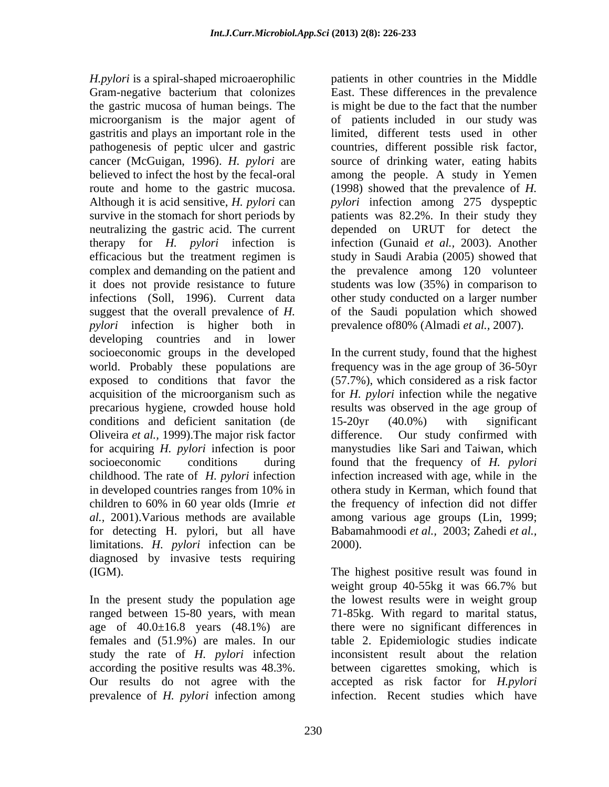*H.pylori* is a spiral-shaped microaerophilic patients in other countries in the Middle Gram-negative bacterium that colonizes the gastric mucosa of human beings. The microorganism is the major agent of of patients included in our study was gastritis and plays an important role in the limited, different tests used in other pathogenesis of peptic ulcer and gastric cancer (McGuigan, 1996). *H. pylori* are source of drinking water, eating habits believed to infect the host by the fecal-oral among the people. A study in Yemen route and home to the gastric mucosa. Although it is acid sensitive, *H. pylori* can *pylori* infection among 275 dyspeptic survive in the stomach for short periods by patients was 82.2%. In their study they neutralizing the gastric acid. The current depended on URUT for detect the therapy for *H. pylori* infection is infection (Gunaid *et al.,* 2003). Another efficacious but the treatment regimen is study in Saudi Arabia (2005) showed that complex and demanding on the patient and the prevalence among 120 volunteer it does not provide resistance to future students was low (35%) in comparison to infections (Soll, 1996). Current data other study conducted on a larger number suggest that the overall prevalence of *H.*  of the Saudi population which showed *pylori* infection is higher both in developing countries and in lower socioeconomic groups in the developed In the current study, found that the highest world. Probably these populations are frequency was in the age group of 36-50yr exposed to conditions that favor the (57.7%), which considered as a risk factor acquisition of the microorganism such as precarious hygiene, crowded house hold results was observed in the age group of conditions and deficient sanitation (de 15-20yr (40.0%) with significant Oliveira *et al.,* 1999).The major risk factor for acquiring *H. pylori* infection is poor manystudies like Sari and Taiwan, which socioeconomic conditions during found that the frequency of *H. pylori* childhood. The rate of *H. pylori* infection infection increased with age, while in the in developed countries ranges from 10% in othera study in Kerman, which found that children to 60% in 60 year olds (Imrie *et*  the frequency of infection did not differ *al.,* 2001).Various methods are available among various age groups (Lin, 1999; for detecting H. pylori, but all have limitations. *H. pylori* infection can be diagnosed by invasive tests requiring (IGM). The highest positive result was found in

In the present study the population age study the rate of *H. pylori* infection prevalence of *H. pylori* infection among East. These differences in the prevalence is might be due to the fact that the number countries, different possible risk factor, (1998) showed that the prevalence of *H.*  prevalence of80% (Almadi *et al.,* 2007).

for *H. pylori* infection while the negative 15-20yr (40.0%) with significant difference. Our study confirmed with Babamahmoodi *et al.,* 2003; Zahedi *et al.,*  2000).

ranged between 15-80 years, with mean 71-85kg. With regard to marital status, age of 40.0±16.8 years (48.1%) are there were no significant differences in females and (51.9%) are males. In our table 2. Epidemiologic studies indicate according the positive results was 48.3%. between cigarettes smoking, which is Our results do not agree with the accepted as risk factor for *H.pylori* weight group 40-55kg it was 66.7% but the lowest results were in weight group inconsistent result about the relation infection. Recent studies which have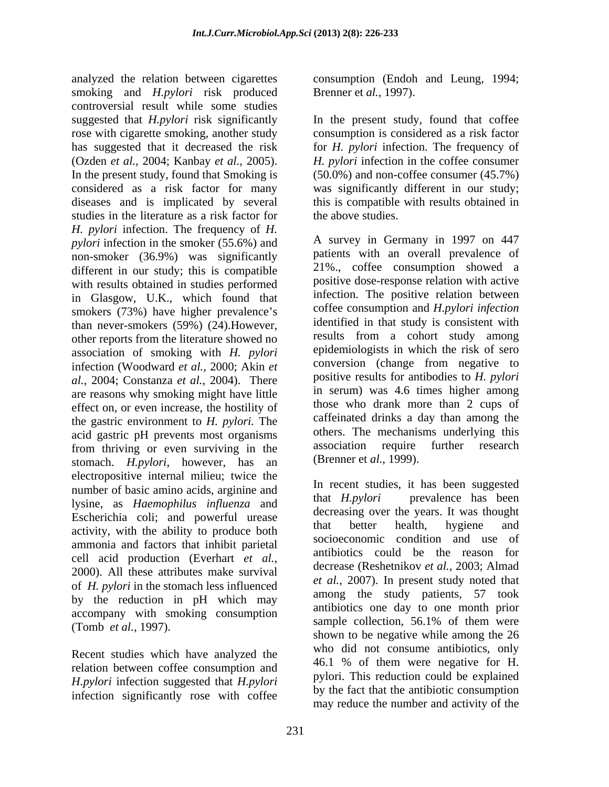analyzed the relation between cigarettes smoking and *H.pylori* risk produced controversial result while some studies suggested that *H.pylori* risk significantly In the present study, found that coffee rose with cigarette smoking, another study has suggested that it decreased the risk for *H. pylori* infection. The frequency of (Ozden *et al.,* 2004; Kanbay *et al.,* 2005). *H. pylori* infection in the coffee consumer In the present study, found that Smoking is considered as a risk factor for many was significantly different in our study; diseases and is implicated by several this is compatible with results obtained in studies in the literature as a risk factor for *H. pylori* infection. The frequency of *H. pylori* infection in the smoker (55.6%) and non-smoker (36.9%) was significantly different in our study; this is compatible with results obtained in studies performed in Glasgow, U.K., which found that smokers (73%) have higher prevalence's than never-smokers (59%) (24).However, other reports from the literature showed no association of smoking with *H. pylori* epidemiologists in which the risk of sero<br>infection (Woodward *et al.* 2000; Akin *et* conversion (change from negative to infection (Woodward *et al.,* 2000; Akin *et al.,* 2004; Constanza *et al.,* 2004). There are reasons why smoking might have little effect on, or even increase, the hostility of the gastric environment to *H. pylori.* The acid gastric pH prevents most organisms others. The mechanisms underlying this<br>from thriving or even surviving in the association require further research from thriving or even surviving in the stomach. *H.pylori*, however, has an electropositive internal milieu; twice the number of basic amino acids, arginine and<br>hat *H.pylori* prevalence has been lysine, as *Haemophilus influenza* and Escherichia coli; and powerful urease decreasing over the years. It was mought estimated by that better health, hygiene and activity, with the ability to produce both ammonia and factors that inhibit parietal cell acid production (Everhart *et al.,* 2000). All these attributes make survival of *H. pylori* in the stomach less influenced by the reduction in pH which may accompany with smoking consumption<br>sample collection, 56.1% of them were

Recent studies which have analyzed the relation between coffee consumption and *H.pylori* infection suggested that *H.pylori* infection significantly rose with coffee consumption (Endoh and Leung, 1994; Brenner et *al.,* 1997).

consumption is considered as a risk factor (50.0%) and non-coffee consumer (45.7%) the above studies.

A survey in Germany in 1997 on 447 patients with an overall prevalence of 21%., coffee consumption showed a positive dose-response relation with active infection. The positive relation between coffee consumption and *H.pylori infection* identified in that study is consistent with results from a cohort study among epidemiologists in which the risk of sero conversion (change from negative to positive results for antibodies to *H. pylori* in serum) was 4.6 times higher among those who drank more than 2 cups of caffeinated drinks a day than among the others. The mechanisms underlying this association require further research (Brenner et *al.,* 1999).

(Tomb *et al.*, 1997).<br> $\frac{1}{2}$   $\frac{1}{2}$   $\frac{1}{2}$   $\frac{1}{2}$   $\frac{1}{2}$   $\frac{1}{2}$   $\frac{1}{2}$   $\frac{1}{2}$   $\frac{1}{2}$   $\frac{1}{2}$   $\frac{1}{2}$   $\frac{1}{2}$   $\frac{1}{2}$   $\frac{1}{2}$   $\frac{1}{2}$   $\frac{1}{2}$   $\frac{1}{2}$   $\frac{1}{2}$   $\frac{1}{2}$   $\frac{1}{2}$ In recent studies, it has been suggested that *H.pylori* prevalence has been decreasing over the years. It was thought that better health, hygiene and socioeconomic condition and use of antibiotics could be the reason for decrease (Reshetnikov *et al.,* 2003; Almad *et al.,* 2007). In present study noted that among the study patients, 57 took antibiotics one day to one month prior sample collection, 56.1% of them were shown to be negative while among the 26 who did not consume antibiotics, only 46.1 % of them were negative for H. pylori. This reduction could be explained by the fact that the antibiotic consumption may reduce the number and activity of the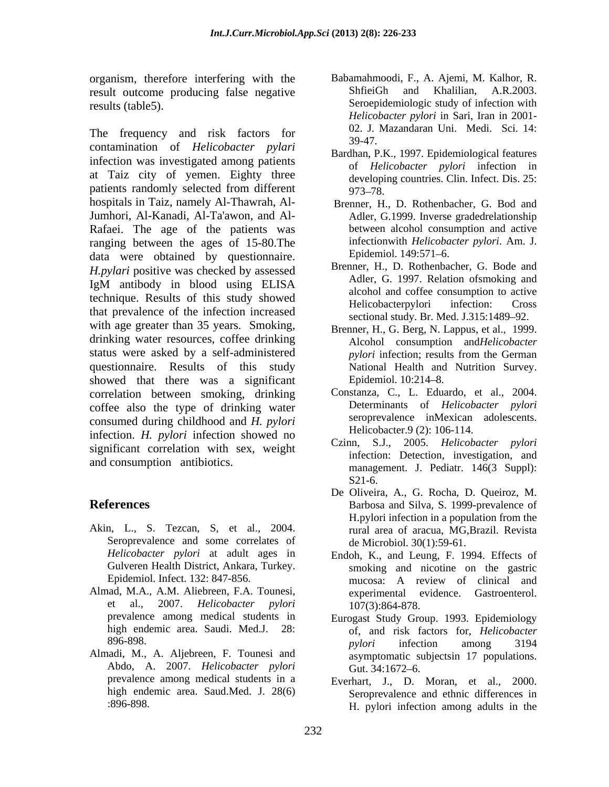organism, therefore interfering with the Babamahmoodi, F., A. Ajemi, M. Kalhor, R.<br>
result outcome producing false negative ShfieiGh and Khalilian. A.R.2003. result outcome producing false negative results (table5). Seroepidemiologic study of infection with

The frequency and risk factors for  $\frac{02.5}{39-47}$ . contamination of *Helicobacter pylari* infection was investigated among patients at Taiz city of yemen. Eighty three patients randomly selected from different 973-78. hospitals in Taiz, namely Al-Thawrah, Al- Jumhori, Al-Kanadi, Al-Ta'awon, and Al- Rafaei. The age of the patients was ranging between the ages of 15-80. The infection is interveloped to the data were obtained by questionnaire Epidemiol. 149:571–6. data were obtained by questionnaire. Epidemiol. 149:571–6.<br>*H.pylari* positive was checked by assessed Brenner, H., D. Rothenbacher, G. Bode and IgM antibody in blood using ELISA Auer, G. 1997. Relation of the action technique. Results of this study showed<br>Helicobacterrylori infection: Cross that prevalence of the infection increased with age greater than 35 years. Smoking, drinking water resources, coffee drinking status were asked by a self-administered *pylori* infection; results from the German questionnaire. Results of this study showed that there was a significant Epidemiol 10:214–8. correlation between smoking, drinking coffee also the type of drinking water consumed during childhood and *H. pylori* infection. *H. pylori* infection showed no significant correlation with sex, weight and consumption antibiotics.

- Akin, L., S. Tezcan, S, et al., 2004. Seroprevalence and some correlates of
- Almad, M.A., A.M. Aliebreen, F.A. Tounesi, et al., 2007. *Helicobacter pylori*
- Almadi, M., A. Aljebreen, F. Tounesi and Abdo, A. 2007. *Helicobacter pylori*
- Babamahmoodi, F., A. Ajemi, M. Kalhor, R. ShfieiGh and Khalilian, A.R.2003. *Helicobacter pylori* in Sari, Iran in 2001- 02. J. Mazandaran Uni. Medi. Sci. 14: 39-47.
- Bardhan, P.K., 1997. Epidemiological features of *Helicobacter pylori* infection in developing countries. Clin. Infect. Dis. 25: 973–78.
- Brenner, H., D. Rothenbacher, G. Bod and Adler, G.1999. Inverse gradedrelationship between alcohol consumption and active infectionwith *Helicobacter pylori*. Am. J. Epidemiol. 149:571–6.
- Brenner, H., D. Rothenbacher, G. Bode and Adler, G. 1997. Relation ofsmoking and alcohol and coffee consumption to active Helicobacterpylori infection: Cross sectional study. Br. Med. J.315:1489-92.
- Brenner, H., G. Berg, N. Lappus, et al., 1999. Alcohol consumption and*Helicobacter pylori* infection; results from the German National Health and Nutrition Survey. Epidemiol. 10:214–8.
- Constanza, C., L. Eduardo, et al., 2004. Determinants of *Helicobacter pylori* seroprevalence inMexican adolescents. Helicobacter.9 (2): 106-114.
- Czinn, S.J., 2005. *Helicobacter pylori* infection: Detection, investigation, and management. J. Pediatr. 146(3 Suppl):  $S21-6.$
- **References** Barbosa and Silva, S. 1999-prevalence of De Oliveira, A., G. Rocha, D. Queiroz, M. H.pylori infection in a population from the rural area of aracua, MG,Brazil. Revista de Microbiol. 30(1):59-61.
	- *Helicobacter pylori* at adult ages in Endoh, K., and Leung, F. 1994. Effects of Gulveren Health District, Ankara, Turkey. smoking and nicotine on the gastric Epidemiol. Infect. 132: 847-856. The mucosa: A review of clinical and mucosa: A review of clinical and experimental evidence. 107(3):864-878.
	- prevalence among medical students in Eurogast Study Group. 1993. Epidemiology high endemic area. Saudi. Med.J. 28: of, and risk factors for, *Helicobacter*  $896-898$ . and  $896-898$ . *pylori* infection among 3194 asymptomatic subjectsin 17 populations. Gut. 34:1672–6.
	- prevalence among medical students in a Everhart, J., D. Moran, et al., 2000. high endemic area. Saud.Med. J. 28(6) Seroprevalence and ethnic differences in :896-898. H. pylori infection among adults in the